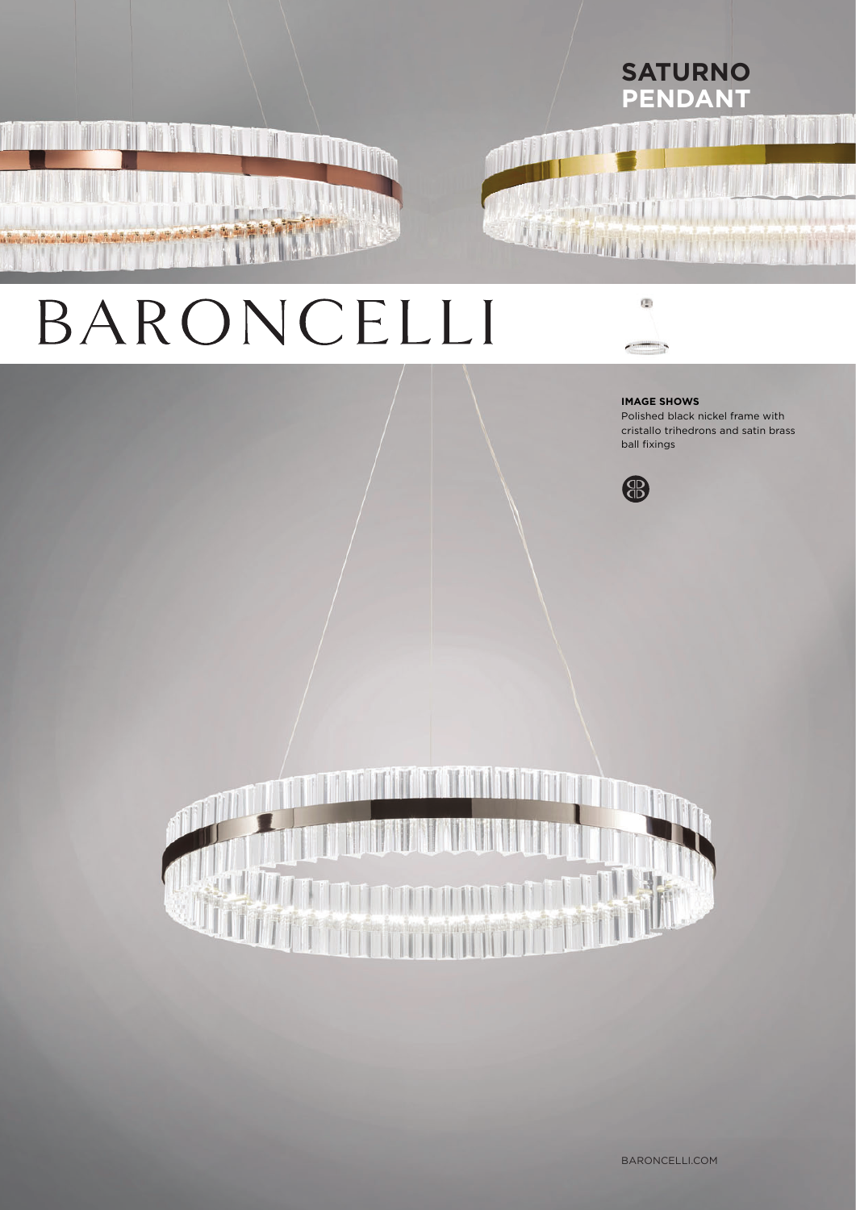## **SATURNO PENDANT**

# BARONCELLI



#### **IMAGE SHOWS**

Polished black nickel frame with cristallo trihedrons and satin brass ball fixings